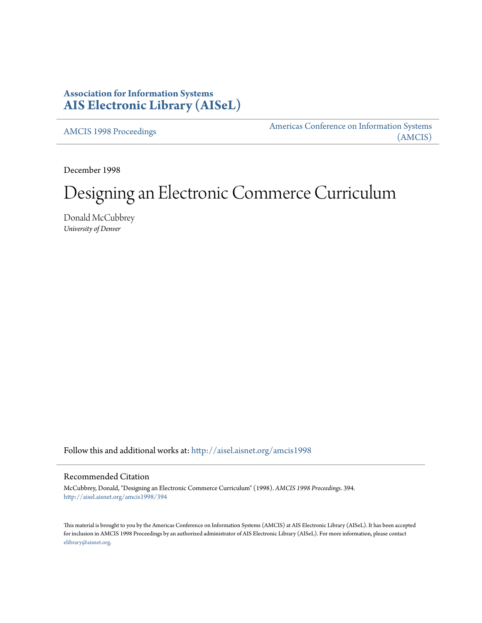# **Association for Information Systems [AIS Electronic Library \(AISeL\)](http://aisel.aisnet.org?utm_source=aisel.aisnet.org%2Famcis1998%2F394&utm_medium=PDF&utm_campaign=PDFCoverPages)**

[AMCIS 1998 Proceedings](http://aisel.aisnet.org/amcis1998?utm_source=aisel.aisnet.org%2Famcis1998%2F394&utm_medium=PDF&utm_campaign=PDFCoverPages)

[Americas Conference on Information Systems](http://aisel.aisnet.org/amcis?utm_source=aisel.aisnet.org%2Famcis1998%2F394&utm_medium=PDF&utm_campaign=PDFCoverPages) [\(AMCIS\)](http://aisel.aisnet.org/amcis?utm_source=aisel.aisnet.org%2Famcis1998%2F394&utm_medium=PDF&utm_campaign=PDFCoverPages)

December 1998

# Designing an Electronic Commerce Curriculum

Donald McCubbrey *University of Denver*

Follow this and additional works at: [http://aisel.aisnet.org/amcis1998](http://aisel.aisnet.org/amcis1998?utm_source=aisel.aisnet.org%2Famcis1998%2F394&utm_medium=PDF&utm_campaign=PDFCoverPages)

# Recommended Citation

McCubbrey, Donald, "Designing an Electronic Commerce Curriculum" (1998). *AMCIS 1998 Proceedings*. 394. [http://aisel.aisnet.org/amcis1998/394](http://aisel.aisnet.org/amcis1998/394?utm_source=aisel.aisnet.org%2Famcis1998%2F394&utm_medium=PDF&utm_campaign=PDFCoverPages)

This material is brought to you by the Americas Conference on Information Systems (AMCIS) at AIS Electronic Library (AISeL). It has been accepted for inclusion in AMCIS 1998 Proceedings by an authorized administrator of AIS Electronic Library (AISeL). For more information, please contact [elibrary@aisnet.org.](mailto:elibrary@aisnet.org%3E)